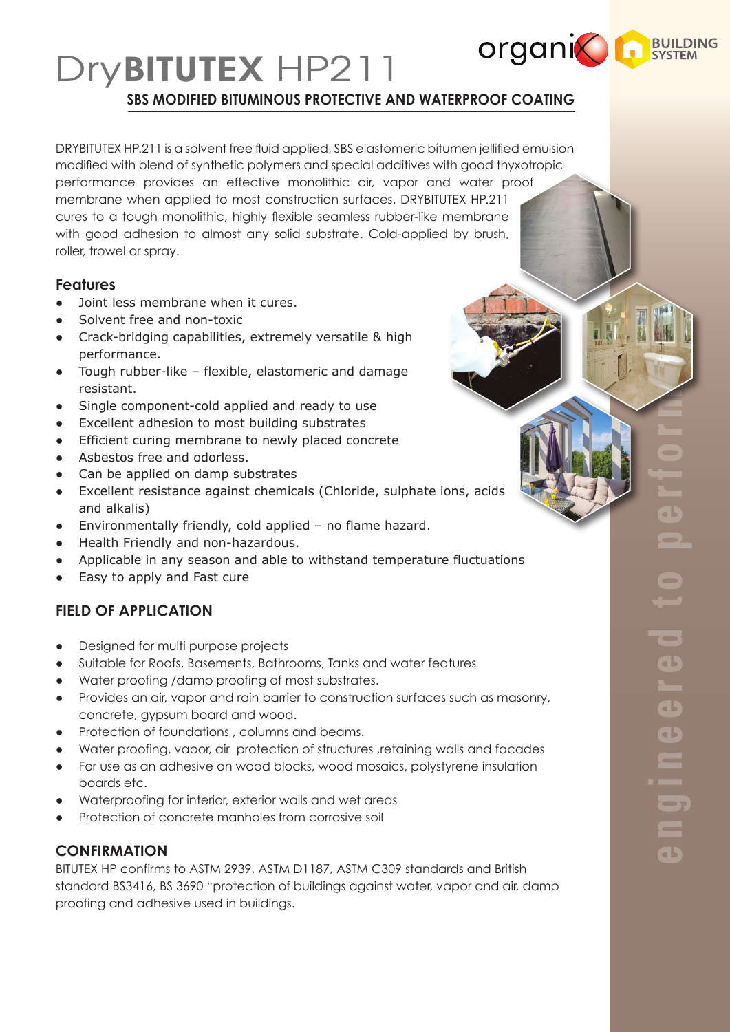# **organic result** DryBITUTEX HP211 **SBS MODIFIED BITUMINOUS PROTECTIVE AND WATERPROOF COATING**

DRYBITUTEX HP.211 is a solvent free fluid applied, SBS elastomeric bitumen jellified emulsion modified with blend of synthetic polymers and special additives with good thyxotropic performance provides an effective monolithic air, vapor and water proof membrane when applied to most construction surfaces. DRYBITUTEX HP.211 cures to a tough monolithic, highly flexible seamless rubber-like membrane with good adhesion to almost any solid substrate. Cold-applied by brush, roller, trowel or spray.

### **Features**

- Joint less membrane when it cures.
- Solvent free and non-toxic
- ● Crack-bridging capabilities, extremely versatile & high performance.
- ● Tough rubber-like flexible, elastomeric and damage resistant.
- Single component-cold applied and ready to use
- Excellent adhesion to most building substrates
- ● Efficient curing membrane to newly placed concrete
- Asbestos free and odorless.
- Can be applied on damp substrates
- ● Excellent resistance against chemicals (Chloride, sulphate ions, acids and alkalis)
- Environmentally friendly, cold applied no flame hazard.
- Health Friendly and non-hazardous.
- ● Applicable in any season and able to withstand temperature fluctuations
- Easy to apply and Fast cure

## **FIELD OF APPLICATION**

- Designed for multi purpose projects
- Suitable for Roofs, Basements, Bathrooms, Tanks and water features
- Water proofing /damp proofing of most substrates.
- Provides an air, vapor and rain barrier to construction surfaces such as masonry, concrete, gypsum board and wood.
- Protection of foundations , columns and beams.
- Water proofing, vapor, air protection of structures , retaining walls and facades
- For use as an adhesive on wood blocks, wood mosaics, polystyrene insulation boards etc.
- Waterproofing for interior, exterior walls and wet areas
- Protection of concrete manholes from corrosive soil

### **CONFIRMATION**

BITUTEX HP confirms to ASTM 2939, ASTM D1187, ASTM C309 standards and British standard BS3416, BS 3690 "protection of buildings against water, vapor and air, damp proofing and adhesive used in buildings.